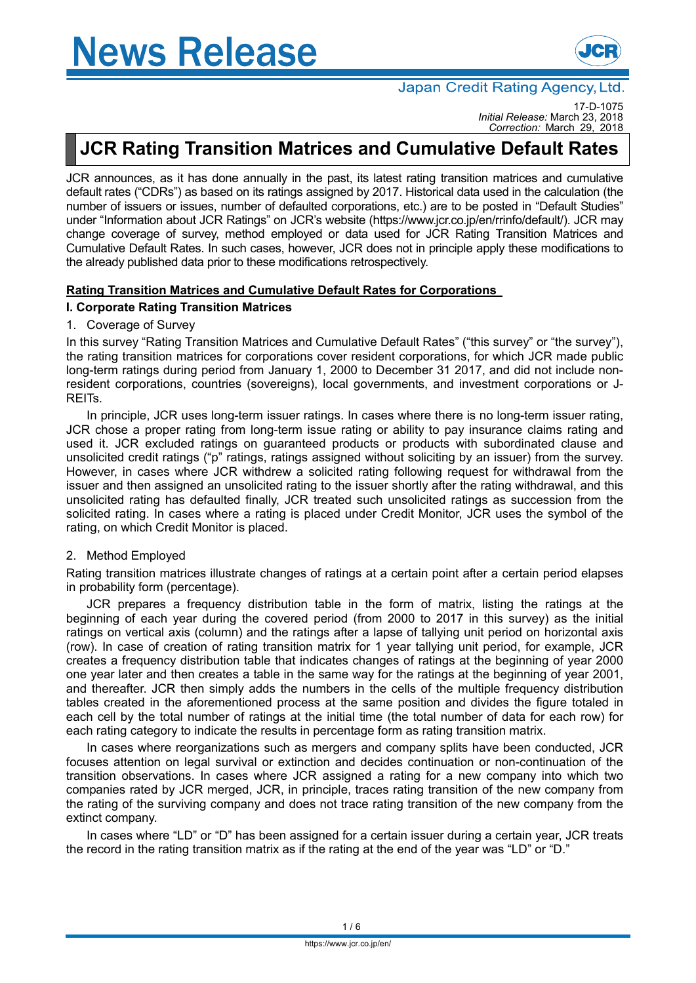

# Japan Credit Rating Agency, Ltd.

17-D-1075 *Initial Release:* March 23, 2018 *Correction:* March 29, 2018

# **JCR Rating Transition Matrices and Cumulative Default Rates**

JCR announces, as it has done annually in the past, its latest rating transition matrices and cumulative default rates ("CDRs") as based on its ratings assigned by 2017. Historical data used in the calculation (the number of issuers or issues, number of defaulted corporations, etc.) are to be posted in "Default Studies" under "Information about JCR Ratings" on JCR's website (https://www.jcr.co.jp/en/rrinfo/default/). JCR may change coverage of survey, method employed or data used for JCR Rating Transition Matrices and Cumulative Default Rates. In such cases, however, JCR does not in principle apply these modifications to the already published data prior to these modifications retrospectively.

# **Rating Transition Matrices and Cumulative Default Rates for Corporations**

# **I. Corporate Rating Transition Matrices**

### 1. Coverage of Survey

In this survey "Rating Transition Matrices and Cumulative Default Rates" ("this survey" or "the survey"), the rating transition matrices for corporations cover resident corporations, for which JCR made public long-term ratings during period from January 1, 2000 to December 31 2017, and did not include nonresident corporations, countries (sovereigns), local governments, and investment corporations or J-REITs.

In principle, JCR uses long-term issuer ratings. In cases where there is no long-term issuer rating, JCR chose a proper rating from long-term issue rating or ability to pay insurance claims rating and used it. JCR excluded ratings on guaranteed products or products with subordinated clause and unsolicited credit ratings ("p" ratings, ratings assigned without soliciting by an issuer) from the survey. However, in cases where JCR withdrew a solicited rating following request for withdrawal from the issuer and then assigned an unsolicited rating to the issuer shortly after the rating withdrawal, and this unsolicited rating has defaulted finally, JCR treated such unsolicited ratings as succession from the solicited rating. In cases where a rating is placed under Credit Monitor, JCR uses the symbol of the rating, on which Credit Monitor is placed.

# 2. Method Employed

Rating transition matrices illustrate changes of ratings at a certain point after a certain period elapses in probability form (percentage).

JCR prepares a frequency distribution table in the form of matrix, listing the ratings at the beginning of each year during the covered period (from 2000 to 2017 in this survey) as the initial ratings on vertical axis (column) and the ratings after a lapse of tallying unit period on horizontal axis (row). In case of creation of rating transition matrix for 1 year tallying unit period, for example, JCR creates a frequency distribution table that indicates changes of ratings at the beginning of year 2000 one year later and then creates a table in the same way for the ratings at the beginning of year 2001, and thereafter. JCR then simply adds the numbers in the cells of the multiple frequency distribution tables created in the aforementioned process at the same position and divides the figure totaled in each cell by the total number of ratings at the initial time (the total number of data for each row) for each rating category to indicate the results in percentage form as rating transition matrix.

In cases where reorganizations such as mergers and company splits have been conducted, JCR focuses attention on legal survival or extinction and decides continuation or non-continuation of the transition observations. In cases where JCR assigned a rating for a new company into which two companies rated by JCR merged, JCR, in principle, traces rating transition of the new company from the rating of the surviving company and does not trace rating transition of the new company from the extinct company.

In cases where "LD" or "D" has been assigned for a certain issuer during a certain year, JCR treats the record in the rating transition matrix as if the rating at the end of the year was "LD" or "D."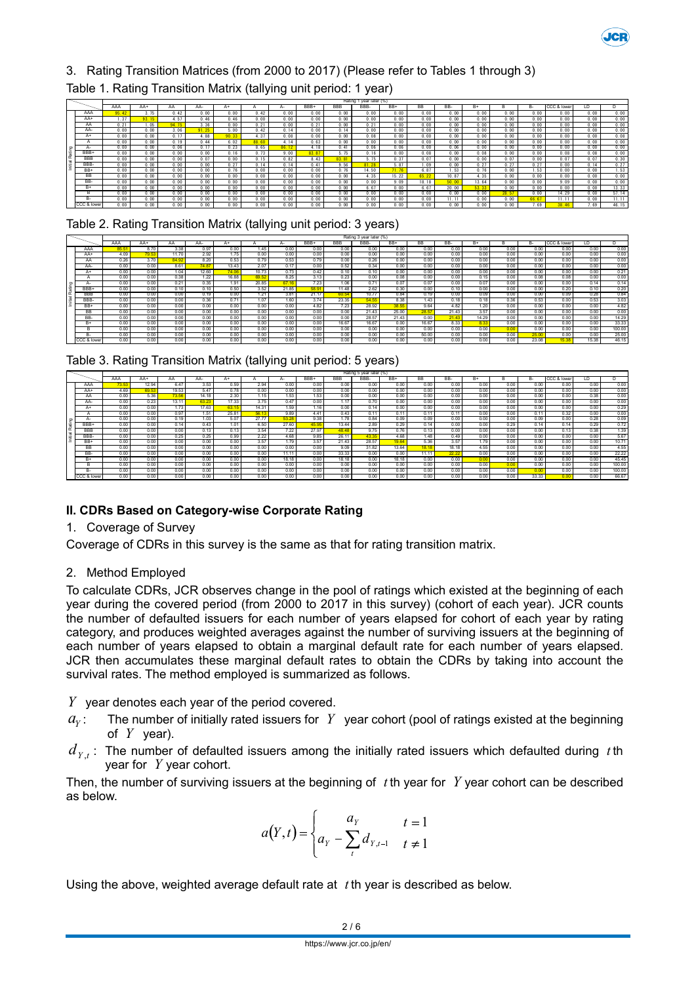

# 3. Rating Transition Matrices (from 2000 to 2017) (Please refer to Tables 1 through 3)

# Table 1. Rating Transition Matrix (tallying unit period: 1 year)

|    |             |      |      |       |       |       |       |       |       |            | Rating 1 year later (%) |       |       |       |       |       |       |             |      |       |
|----|-------------|------|------|-------|-------|-------|-------|-------|-------|------------|-------------------------|-------|-------|-------|-------|-------|-------|-------------|------|-------|
|    |             | AAA  | AA+  | AA    | AA-   | A+    |       | д.    | BBB+  | <b>BBB</b> | BBB-                    | BB+   | BB.   | BB-   | B+    |       | н.    | CCC & lower | ۱D   |       |
|    | AAA         |      | 75   | 0.42  | 0.00  | 0.00  | 0.42  | 0.00  | 0.00  | 0.00       | 0.00                    | 0.00  | 0.00  | 0.00  | 0.00  | 0.00  | 0.00  | 0.00        | 0.00 | 0.00  |
|    | AA+         | -37  |      | 4 57  | 0.46  | 0.46  | 0.00  | 0.00  | 0.00  | 0.00       | 0.00                    | 0.00  | 0.00  | 0.00  | 0.00  | 0.00  | 0.00  | 0.00        | 0.00 | 0.00  |
|    | AA          | 0.21 | .05  | 94.75 | 3.36  | 0.00  | 0.21  | 0.00  | 0.21  | 0.00       | 0.21                    | 0.00  | 0.00  | 0.00  | 0.00  | 0.00  | 0.00  | 0.00        | 0.00 | 0.00  |
|    | AA-         | 0.00 | 0.00 | 3.06  | 91.25 | 5.00  | 0.42  | 0.14  | 0.00  | 0.14       | 0.00                    | 0.00  | 0.00  | 0.00  | 0.00  | 0.00  | 0.00  | 0.00        | 0.00 | 0.00  |
|    | A+          | 0.00 | 0.00 | 0.17  | 4.88  | 90.33 | 4.37  | 0.08  | 0.00  | 0.00       | 0.08                    | 0.00  | 0.00  | 0.00  | 0.00  | 0.00  | 0.00  | 0.00        | 0.00 | 0.08  |
|    |             | 0.00 | 0.00 | 0.19  | 0.44  | 6.02  | 88.60 | 4.14  | 0.63  | 0.00       | 0.00                    | 0.00  | 0.00  | 0.00  | 0.00  | 0.00  | 0.00  | 0.00        | 0.00 | 0.00  |
|    |             | 0.00 | 0.00 | 0.06  | 0.17  | 0.23  | 8.65  | 86.12 | 4.18  | 0.41       | 0.06                    | 0.06  | 0.00  | 0.06  | 0.00  | 0.00  | 0.00  | 0.00        | 0.00 | 0.00  |
| ۱ä | BBB+        | 0.00 | 0.00 | 0.00  | 0.00  | 0.16  |       | 9.00  | 83.87 | 5 75       | 0.16                    | 0.00  | 0.08  | 0.00  | 0.08  | 0.00  | 0.00  | 0.08        | 0.08 | 0.00  |
|    | <b>BBB</b>  | 0.00 | 0.00 | 0.00  | 0.07  | 0.00  | 0 15  | 0.82  | 8 4 3 |            | 5 75                    | 0 37  | 00    | 0.00  | 0.00  | 0.07  | 0.00  | 0.07        | 0.07 | 0.30  |
|    | BBB-        | 0.00 | 0.00 | 0.00  | 0.00  | 0.27  | 14    | 0.14  | 041   | 9 56       | 81 28                   | 5.87  | 09    | 0.00  | 0.27  |       | 0.27  | 0.00        | 0.14 | 0.27  |
|    | BB+         | 0.00 | 0.00 | 0.00  | 0. 00 | 0.76  | 0.00  | 0.00  | 0.00  |            | 14.50                   |       | R     | .53   | 0.76  |       | . 53  | 0.00        | 0.00 | 1.53  |
|    | <b>BB</b>   | 0.00 | 0.00 | 0.00  | 0.00  | 0.00  | 0.00  | 0.00  | 0.00  | 0.00       | 4.35                    | 15.22 |       | 10.87 | .35   |       | 0.00  | 0.00        | 0.00 | 0.00  |
|    | BB-         | 0.00 | 0.00 | 0.00  | 0.00  | 0.00  | 0.00  | 0.00  | 0.00  | 0.00       | 0.00                    | 9.09  | 18.18 | 50.00 | 13.64 |       | 0.00  | 9.09        | 0.00 | 0.00  |
|    | $B+$        | 0.00 | 0.00 | 0.00  | 0.00  | 0.00  | 0.00  | 0.00  | 0.00  | 0.00       | 6.67                    | 0.00  | 6.67  | 20.00 | 53.33 | 0.00  | 0.00  | 0.00        | 0.00 | 13.33 |
|    |             | 0.00 | 0.00 | 0.00  | 0.00  | 0.00  | 0.00  | 0.00  | 0.00  | 0.00       | 0.00                    | 0.00  | 0.00  | 0.00  | 0.00  | 28.57 | 0.00  | 14.29       | 0.00 | 57.14 |
|    | <b>B-</b>   | 0.00 | 0.00 | 0.00  | 0.00  | 0.00  | 0.00  | 0.00  | 0.00  | 0.00       | 0.00                    | 0.00  | 0.00  | 11.11 | 0.00  | 0.00  | 66.67 | 11.1        | 0.00 | 11.11 |
|    | CCC & lower | 0.00 | 0.00 | 0.00  | 0.00  | 0.00  | 0.00  | 0.00  | 0.00  | 0.00       | 0.00                    | 0.00  | 0.00  | 0.00  | 0.00  |       | 7.69  |             | 7.69 | 46.15 |

Table 2. Rating Transition Matrix (tallying unit period: 3 years)

|                          |             |      |       |       |       |       |       |       |       |            | Rating 3 year later (%) |       |           |       |       |      |       |             |       |        |
|--------------------------|-------------|------|-------|-------|-------|-------|-------|-------|-------|------------|-------------------------|-------|-----------|-------|-------|------|-------|-------------|-------|--------|
|                          |             | AAA  | AA+   | AA    | AA-   | $A+$  |       | А-    | BBB+  | <b>BBB</b> | BBB-                    | $RR+$ | <b>BB</b> | BB-   | $B+$  | R    | B-    | CCC & lower | ID.   |        |
|                          | AAA         | 85.5 | 8.70  | 3.38  | 0.97  | 0.00  | 1.45  | 0.00  | 0.00  | 0.00       | 0.00                    | 0.00  | 0.00      | 0.00  | 0.00  | 0.00 | 0.00  | 0.00        | 0.00  | 0.00   |
|                          | AA+         | 4.09 | 79.53 | 11 70 | 2.92  | 1.75  | 0.00  | 0.00  | 0.00  | 0.00       | 0.00                    | 0.00  | 0.00      | 0.00  | 0.00  | 0.00 | 0.00  | 0.00        | 0.00  | 0.00   |
|                          | AA          | 0.26 | 3.70  | 84.92 | 8.20  | 0.53  | 0.79  | 0.53  | 0.79  | 0.00       | 0.26                    | 0.00  | 0.00      | 0.00  | 0.00  | 0.00 | 0.00  | 0.00        | 0.00  | 0.00   |
|                          | AA-         | 0.00 | 0.00  | 8.61  | 74.8  | 13.43 | 2.07  | 0.17  | 0.00  | 0.52       | 0.34                    | 0.00  | 0.00      | 0.00  | 0.00  | 0.00 | 0.00  | 0.00        | 0.00  | 0.00   |
|                          | A+          | 0.00 | 0.00  | 1.04  | 12.60 | 74.06 | 10.73 | 0.73  | 0.42  | 0.10       | 0.10                    | 0.00  | 0.00      | 0.00  | 0.00  | 0.00 | 0.00  | 0.00        | 0.00  | 0.21   |
|                          |             | 0.00 | 0.00  | 0.38  | 1.22  | 16.88 | 69.52 | 8.25  | 3.13  | 0.23       | 0.00                    | 0.08  | 0.00      | 0.00  | 0.15  | 0.00 | 0.08  | 0.08        | 0.00  | 0.00   |
|                          |             | 0.00 | 0.00  | 0.21  | 0.35  | 1.91  | 20.85 | 67.16 | 7.23  | 1.06       | 0.71                    | 0.07  | 0.07      | 0.00  | 0.07  | 0.00 | 0.00  | 0.00        | 0.14  | 0.14   |
|                          | BBB-        | 0.00 | 0.00  | 0.10  | 0.10  | 0.50  | 3.52  | 21.85 | 58.91 | 11.48      | 2.62                    | 0.30  | 0.00      | 0.10  | 0.00  | 0.00 | 0.00  | 0.20        | 0.10  | 0.20   |
| $\overline{\phantom{a}}$ | <b>BBB</b>  | 0.00 | 0.00  | 0.00  | 0.19  | 0.00  | 1.21  | 3.81  | 21.17 | 60.54      | 10.77                   | 0.84  | 0.19      | 0.00  | 0.09  | 0.00 | 0.00  | 0.09        | 0.28  | 0.84   |
|                          | BBB-        | 0.00 | 0.00  | 0.00  | 0.36  | 0.71  | 1.07  | 1.60  | 3.74  | 23.35      | 54.55                   | 8.38  | 1.43      | 0.18  | 0.18  | 0.36 | 0.53  | 0.00        | 0.53  | 3.03   |
|                          | BB+         | 0.00 | 0.00  | 0.00  | 0.00  | 0.00  | 0.00  | 0.00  | 4.82  | 7.23       | 28.92                   | 38.55 | 9.64      | 4.82  | 1.20  | 0.00 | 0.00  | 0.00        | 0.00  | 4.82   |
|                          | <b>BB</b>   | 0.00 | 0.00  | 0.00  | 0.00  | 0.00  | 0.00  | 0.00  | 0.00  | 0.00       | 21.43                   | 25.00 | 28.57     | 21.43 | 3.57  | 0.00 | 0.00  | 0.00        | 0.00  | 0.00   |
|                          | BB-         | 0.00 | 0.00  | 0.00  | 0.00  | 0.00  | 0.00  | 0.00  | 0.00  | 0.00       | 28.57                   | 21.43 | 0.00      | 21.43 | 14.29 | 0.00 | 0.00  | 0.00        | 0.00  | 14.29  |
|                          | $B+$        | 0.00 | 0.00  | 0.00  | 0.00  | 0.00  | 0.00  | 0.00  | 0.00  | 16.67      | 16.67                   | 0.00  | 16.67     | 8.33  | 8.33  | 0.00 | 0.00  | 0.00        | 0.00  | 33.33  |
|                          | R.          | 0.00 | 0.00  | 0.00  | 0.00  | 0.00  | 0.00  | 0.00  | 0.00  | 0.00       | 0.00                    | 0.00  | 0.00      | 0.00  | 0.00  | 0.00 | 0.00  | 0.00        | 0.00  | 100.00 |
|                          | н.          | 0.00 | 0.00  | 0.00  | 0.00  | 0.00  | 0.00  | 0.00  | 0.00  | 0.00       | 0.00                    | 0.00  | 50.00     | 0.00  | 0.00  | 0.00 | 25.00 | 0.00        | 0.00  | 25.00  |
|                          | CCC & lower | 0.00 | 0.00  | 0.00  | 0.00  | 0.00  | 0.00  | 0.00  | 0.00  | 0.00       | 0.00                    | 0.00  | 0.00      | 0.00  | 0.00  | 0.00 | 23.08 | 15.38       | 15.38 | 46.15  |

|  | Table 3. Rating Transition Matrix (tallying unit period: 5 years) |  |  |  |
|--|-------------------------------------------------------------------|--|--|--|
|  |                                                                   |  |  |  |

|     |             |      |       |       |       |       |       |       |       |            | Rating 5 year later (%) |       |       |       |      |      |       |             |      |        |
|-----|-------------|------|-------|-------|-------|-------|-------|-------|-------|------------|-------------------------|-------|-------|-------|------|------|-------|-------------|------|--------|
|     |             | AAA  | AA+   | AA    | AA-   | $A+$  | А     | $A-$  | BBB+  | <b>BBB</b> | BBB-                    | BB+   | BB    | BB-   | $B+$ | в    | в.    | CCC & lower | LD   |        |
|     | AAA         | 73.5 | 12.94 | 6.47  | 3.53  | 0.59  | 2.94  | 0.00  | 0.00  | 0.00       | 0.00                    | 0.00  | 0.00  | 0.00  | 0.00 | 0.00 | 0.00  | 0.00        | 0.00 | 0.00   |
|     | AA+         | 4.69 | 69.53 | 19.53 | 5.47  | 0.78  | 0.00  | 0.00  | 0.00  | 0.00       | 0.00                    | 0.00  | 0.00  | 0.00  | 0.00 | 0.00 | 0.00  | 0.00        | 0.00 | 0.00   |
|     | AA          | 0.00 | 5.36  | 73.56 | 14.18 | 2.30  | 1.15  | 1.53  | 1.53  | 0.00       | 0.00                    | 0.00  | 0.00  | 0.00  | 0.00 | 0.00 | 0.00  | 0.00        | 0.38 | 0.00   |
|     | AA-         | 0.00 | 0.23  | 13.11 | 63.23 | 17.33 | 3.75  | 0.47  | 0.00  | 1.17       | 0.70                    | 0.00  | 0.00  | 0.00  | 0.00 | 0.00 | 0.00  | 0.00        | 0.00 | 0.00   |
|     | $A+$        | 0.00 | 0.00  | 1.73  | 17.63 | 63.15 | 14.31 | 1.59  | 1.16  | 0.00       | 0.14                    | 0.00  | 0.00  | 0.00  | 0.00 | 0.00 | 0.00  | 0.00        | 0.00 | 0.29   |
|     |             | 0.00 | 0.00  | 0.97  | 1.51  | 25.81 | 56.13 | 9.89  | 4.41  | 0.43       | 0.11                    | 0.11  | 0.11  | 0.11  | 0.00 | 0.00 | 0.11  | 0.32        | 0.00 | 0.00   |
|     | д-          | 0.00 | 0.00  | 0.19  | 1.03  | 5.07  | 27.77 | 53.28 | 9.38  | 1.78       | 0.84                    | 0.09  | 0.09  | 0.00  | 0.00 | 0.00 | 0.09  | 0.00        | 0.28 | 0.09   |
| . . | <b>BBB</b>  | 0.00 | 0.00  | 0.14  | 0.43  | 1.01  | 6.50  | 27.60 | 45.95 | 13.44      | 2.89                    | 0.29  | 0.14  | 0.00  | 0.00 | 0.29 | 0.14  | 0.14        | 0.29 | 0.72   |
|     | BBB         | 0.00 | 0.00  | 0.00  | 0.13  | 0.13  | 3.54  | 7.22  | 27.97 | 48.48      | 9.75                    | 0.76  | 0.13  | 0.00  | 0.00 | 0.00 | 0.00  | 0.13        | 0.38 | 1.39   |
| ۱ë  | BBB-        | 0.00 | 0.00  | 0.25  | 0.25  | 0.99  | 2.22  | 4.68  | 9.85  | 26.11      | 43.3                    | 4.68  | 1.48  | 0.49  | 0.00 | 0.00 | 0.00  | 0.00        | 0.00 | 5.67   |
| --  | BB+         | 0.00 | 0.00  | 0.00  | 0.00  | 0.00  | 3.57  | 1.79  | 3.57  | 21.43      | 28.57                   | 19.64 | 5.36  | 3.57  | 1.79 | 0.00 | 0.00  | 0.00        | 0.00 | 10.71  |
|     | <b>BB</b>   | 0.00 | 0.00  | 0.00  | 0.00  | 0.00  | 0.00  | 0.00  | 0.00  | 9.09       | 31.82                   | 13.64 | 18.18 | 18.18 | 4.55 | 0.00 | 0.00  | 0.00        | 0.00 | 4.55   |
|     | BB-         | 0.00 | 0.00  | 0.00  | 0.00  | 0.00  | 0.00  | 11.11 | 0.00  | 33.33      | 0.00                    | 0.00  | 11.11 | 22.22 | 0.00 | 0.00 | 0.00  | 0.00        | 0.00 | 22.22  |
|     | $B+$        | 0.00 | 0.00  | 0.00  | 0.00  | 0.00  | 0.00  | 18.18 | 0.00  | 18.18      | 0.00                    | 18.18 | 0.00  | 0.00  | 0.00 | 0.00 | 0.00  | 0.00        | 0.00 | 45.45  |
|     | B           | 0.00 | 0.00  | 0.00  | 0.00  | 0.00  | 0.00  | 0.00  | 0.00  | 0.00       | 0.00                    | 0.00  | 0.00  | 0.00  | 0.00 | 0.00 | 0.00  | 0.00        | 0.00 | 100.00 |
|     | <b>B-</b>   | 0.00 | 0.00  | 0.00  | 0.00  | 0.00  | 0.00  | 0.00  | 0.00  | 0.00       | 0.00                    | 0.00  | 0.00  | 0.00  | 0.00 | 0.00 | 0.00  | 0.00        | 0.00 | 100.00 |
|     | CCC & lower | 0.00 | 0.00  | 0.00  | 0.00  | 0.00  | 0.00  | 0.00  | 0.00  | 0.00       | 0.00                    | 0.00  | 0.00  | 0.00  | 0.00 | 0.00 | 33.33 | 0.00        | 0.00 | 66.67  |

# **II. CDRs Based on Category-wise Corporate Rating**

# 1. Coverage of Survey

Coverage of CDRs in this survey is the same as that for rating transition matrix.

# 2. Method Employed

To calculate CDRs, JCR observes change in the pool of ratings which existed at the beginning of each year during the covered period (from 2000 to 2017 in this survey) (cohort of each year). JCR counts the number of defaulted issuers for each number of years elapsed for cohort of each year by rating category, and produces weighted averages against the number of surviving issuers at the beginning of each number of years elapsed to obtain a marginal default rate for each number of years elapsed. JCR then accumulates these marginal default rates to obtain the CDRs by taking into account the survival rates. The method employed is summarized as follows.

*Y* year denotes each year of the period covered.

- $a_{v}$ : The number of initially rated issuers for  $Y$  year cohort (pool of ratings existed at the beginning of *Y* year).
- $d_{Y,t}$ : The number of defaulted issuers among the initially rated issuers which defaulted during *t* th year for *Y* year cohort.

Then, the number of surviving issuers at the beginning of *t* th year for *Y* year cohort can be described as below.

$$
a(Y,t) = \begin{cases} a_Y & t = 1 \\ a_Y - \sum_t d_{Y,t-1} & t \neq 1 \end{cases}
$$

Using the above, weighted average default rate at *t* th year is described as below.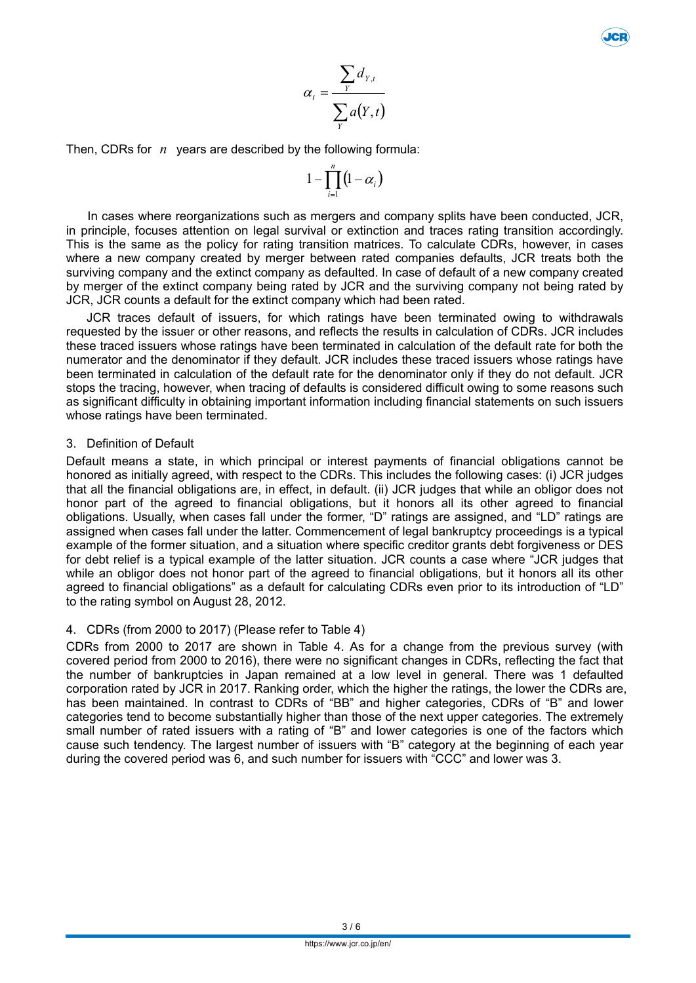$$
\alpha_t = \frac{\sum_{Y} d_{Y,t}}{\sum_{Y} a(Y,t)}
$$

Then, CDRs for *n* years are described by the following formula:

$$
1-\prod_{i=1}^n\bigl(1-\alpha_i\bigr)
$$

In cases where reorganizations such as mergers and company splits have been conducted, JCR, in principle, focuses attention on legal survival or extinction and traces rating transition accordingly. This is the same as the policy for rating transition matrices. To calculate CDRs, however, in cases where a new company created by merger between rated companies defaults, JCR treats both the surviving company and the extinct company as defaulted. In case of default of a new company created by merger of the extinct company being rated by JCR and the surviving company not being rated by JCR, JCR counts a default for the extinct company which had been rated.

JCR traces default of issuers, for which ratings have been terminated owing to withdrawals requested by the issuer or other reasons, and reflects the results in calculation of CDRs. JCR includes these traced issuers whose ratings have been terminated in calculation of the default rate for both the numerator and the denominator if they default. JCR includes these traced issuers whose ratings have been terminated in calculation of the default rate for the denominator only if they do not default. JCR stops the tracing, however, when tracing of defaults is considered difficult owing to some reasons such as significant difficulty in obtaining important information including financial statements on such issuers whose ratings have been terminated.

### 3. Definition of Default

Default means a state, in which principal or interest payments of financial obligations cannot be honored as initially agreed, with respect to the CDRs. This includes the following cases: (i) JCR judges that all the financial obligations are, in effect, in default. (ii) JCR judges that while an obligor does not honor part of the agreed to financial obligations, but it honors all its other agreed to financial obligations. Usually, when cases fall under the former, "D" ratings are assigned, and "LD" ratings are assigned when cases fall under the latter. Commencement of legal bankruptcy proceedings is a typical example of the former situation, and a situation where specific creditor grants debt forgiveness or DES for debt relief is a typical example of the latter situation. JCR counts a case where "JCR judges that while an obligor does not honor part of the agreed to financial obligations, but it honors all its other agreed to financial obligations" as a default for calculating CDRs even prior to its introduction of "LD" to the rating symbol on August 28, 2012.

# 4. CDRs (from 2000 to 2017) (Please refer to Table 4)

CDRs from 2000 to 2017 are shown in Table 4. As for a change from the previous survey (with covered period from 2000 to 2016), there were no significant changes in CDRs, reflecting the fact that the number of bankruptcies in Japan remained at a low level in general. There was 1 defaulted corporation rated by JCR in 2017. Ranking order, which the higher the ratings, the lower the CDRs are, has been maintained. In contrast to CDRs of "BB" and higher categories, CDRs of "B" and lower categories tend to become substantially higher than those of the next upper categories. The extremely small number of rated issuers with a rating of "B" and lower categories is one of the factors which cause such tendency. The largest number of issuers with "B" category at the beginning of each year during the covered period was 6, and such number for issuers with "CCC" and lower was 3.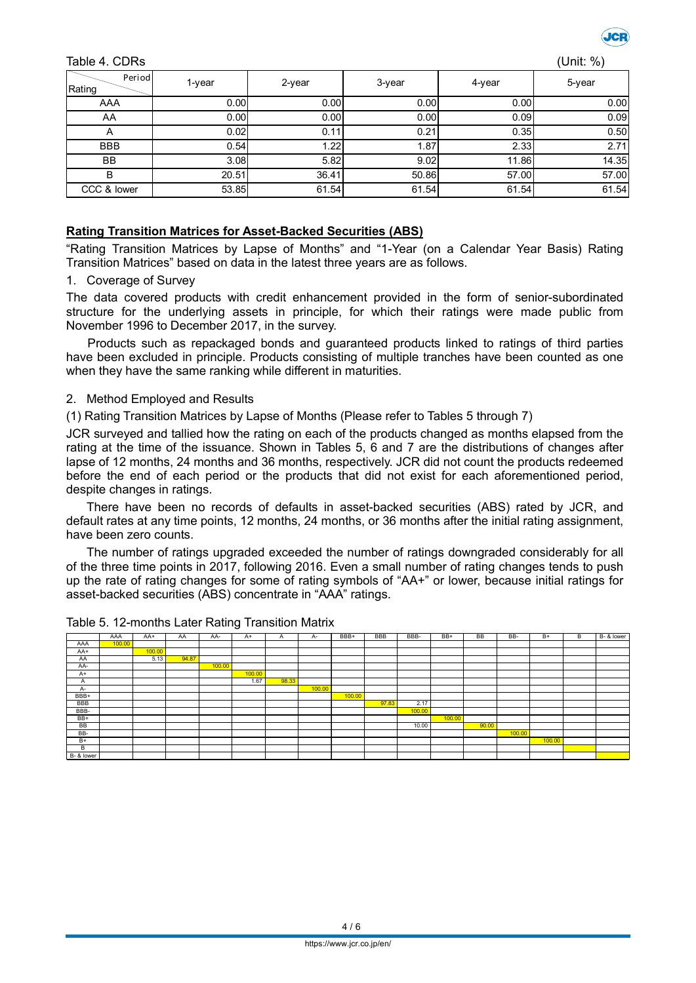

#### Table 4. CDRs (Unit: %)

| Period<br>Rating | 1-year | 2-year | 3-year | 4-year | 5-year |
|------------------|--------|--------|--------|--------|--------|
| AAA              | 0.00   | 0.00   | 0.00   | 0.00   | 0.00   |
| AA               | 0.00   | 0.00   | 0.00   | 0.09   | 0.09   |
| A                | 0.02   | 0.11   | 0.21   | 0.35   | 0.50   |
| <b>BBB</b>       | 0.54   | 1.22   | 1.87   | 2.33   | 2.71   |
| <b>BB</b>        | 3.08   | 5.82   | 9.02   | 11.86  | 14.35  |
| B                | 20.51  | 36.41  | 50.86  | 57.00  | 57.00  |
| CCC & lower      | 53.85  | 61.54  | 61.54  | 61.54  | 61.54  |

### **Rating Transition Matrices for Asset-Backed Securities (ABS)**

"Rating Transition Matrices by Lapse of Months" and "1-Year (on a Calendar Year Basis) Rating Transition Matrices" based on data in the latest three years are as follows.

#### 1. Coverage of Survey

The data covered products with credit enhancement provided in the form of senior-subordinated structure for the underlying assets in principle, for which their ratings were made public from November 1996 to December 2017, in the survey.

Products such as repackaged bonds and guaranteed products linked to ratings of third parties have been excluded in principle. Products consisting of multiple tranches have been counted as one when they have the same ranking while different in maturities.

#### 2. Method Employed and Results

(1) Rating Transition Matrices by Lapse of Months (Please refer to Tables 5 through 7)

JCR surveyed and tallied how the rating on each of the products changed as months elapsed from the rating at the time of the issuance. Shown in Tables 5, 6 and 7 are the distributions of changes after lapse of 12 months, 24 months and 36 months, respectively. JCR did not count the products redeemed before the end of each period or the products that did not exist for each aforementioned period, despite changes in ratings.

There have been no records of defaults in asset-backed securities (ABS) rated by JCR, and default rates at any time points, 12 months, 24 months, or 36 months after the initial rating assignment, have been zero counts.

The number of ratings upgraded exceeded the number of ratings downgraded considerably for all of the three time points in 2017, following 2016. Even a small number of rating changes tends to push up the rate of rating changes for some of rating symbols of "AA+" or lower, because initial ratings for asset-backed securities (ABS) concentrate in "AAA" ratings.

|            | AAA    | AA+    | AA    | AA-    | $A+$   | A     | A-     | BBB+   | BBB   | BBB-   | BB+    | <b>BB</b> | BB-    | $B+$   | B | B- & lower |
|------------|--------|--------|-------|--------|--------|-------|--------|--------|-------|--------|--------|-----------|--------|--------|---|------------|
| AAA        | 100.00 |        |       |        |        |       |        |        |       |        |        |           |        |        |   |            |
| AA+        |        | 100.00 |       |        |        |       |        |        |       |        |        |           |        |        |   |            |
| AA         |        | 5.13   | 94.87 |        |        |       |        |        |       |        |        |           |        |        |   |            |
| AA-        |        |        |       | 100.00 |        |       |        |        |       |        |        |           |        |        |   |            |
| $A+$       |        |        |       |        | 100.00 |       |        |        |       |        |        |           |        |        |   |            |
| A          |        |        |       |        | 1.67   | 98.33 |        |        |       |        |        |           |        |        |   |            |
| A-         |        |        |       |        |        |       | 100.00 |        |       |        |        |           |        |        |   |            |
| BBB+       |        |        |       |        |        |       |        | 100.00 |       |        |        |           |        |        |   |            |
| <b>BBB</b> |        |        |       |        |        |       |        |        | 97.83 | 2.17   |        |           |        |        |   |            |
| BBB-       |        |        |       |        |        |       |        |        |       | 100.00 |        |           |        |        |   |            |
| BB+        |        |        |       |        |        |       |        |        |       |        | 100.00 |           |        |        |   |            |
| BB         |        |        |       |        |        |       |        |        |       | 10.00  |        | 90.00     |        |        |   |            |
| BB-        |        |        |       |        |        |       |        |        |       |        |        |           | 100.00 |        |   |            |
| $B+$       |        |        |       |        |        |       |        |        |       |        |        |           |        | 100.00 |   |            |
| B          |        |        |       |        |        |       |        |        |       |        |        |           |        |        |   |            |
| B- & lower |        |        |       |        |        |       |        |        |       |        |        |           |        |        |   |            |

#### Table 5. 12-months Later Rating Transition Matrix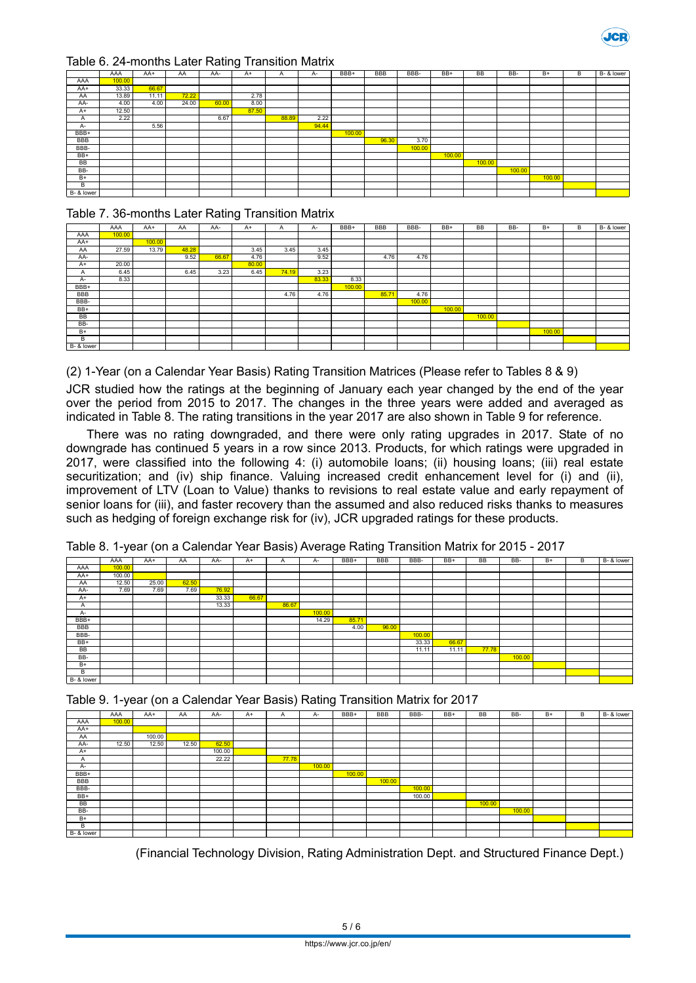

#### Table 6. 24-months Later Rating Transition Matrix

|            | AAA    | $AA+$ | AA    | AA-   | $A+$  | A     | A-    | BBB+   | <b>BBB</b> | BBB-   | BB+    | <b>BB</b> | BB-    | $B+$   | B | B- & lower |
|------------|--------|-------|-------|-------|-------|-------|-------|--------|------------|--------|--------|-----------|--------|--------|---|------------|
| AAA        | 100.00 |       |       |       |       |       |       |        |            |        |        |           |        |        |   |            |
| AA+        | 33.33  | 66.67 |       |       |       |       |       |        |            |        |        |           |        |        |   |            |
| AA         | 13.89  | 11.11 | 72.22 |       | 2.78  |       |       |        |            |        |        |           |        |        |   |            |
| AA-        | 4.00   | 4.00  | 24.00 | 60.00 | 8.00  |       |       |        |            |        |        |           |        |        |   |            |
| $A+$       | 12.50  |       |       |       | 87.50 |       |       |        |            |        |        |           |        |        |   |            |
| Α          | 2.22   |       |       | 6.67  |       | 88.89 | 2.22  |        |            |        |        |           |        |        |   |            |
| A-         |        | 5.56  |       |       |       |       | 94.44 |        |            |        |        |           |        |        |   |            |
| BBB+       |        |       |       |       |       |       |       | 100.00 |            |        |        |           |        |        |   |            |
| <b>BBB</b> |        |       |       |       |       |       |       |        | 96.30      | 3.70   |        |           |        |        |   |            |
| BBB-       |        |       |       |       |       |       |       |        |            | 100.00 |        |           |        |        |   |            |
| $BB+$      |        |       |       |       |       |       |       |        |            |        | 100.00 |           |        |        |   |            |
| <b>BB</b>  |        |       |       |       |       |       |       |        |            |        |        | 100.00    |        |        |   |            |
| BB-        |        |       |       |       |       |       |       |        |            |        |        |           | 100.00 |        |   |            |
| $B+$       |        |       |       |       |       |       |       |        |            |        |        |           |        | 100.00 |   |            |
| B          |        |       |       |       |       |       |       |        |            |        |        |           |        |        |   |            |
| B- & lower |        |       |       |       |       |       |       |        |            |        |        |           |        |        |   |            |

#### Table 7. 36-months Later Rating Transition Matrix

|            |        |        |       |       | -     |       |       |        |            |        |        |           |     |        |   |            |
|------------|--------|--------|-------|-------|-------|-------|-------|--------|------------|--------|--------|-----------|-----|--------|---|------------|
|            | AAA    | AA+    | AA    | AA-   | $A+$  | A     | A-    | BBB+   | <b>BBB</b> | BBB-   | BB+    | <b>BB</b> | BB- | $B+$   | B | B- & lower |
| AAA        | 100.00 |        |       |       |       |       |       |        |            |        |        |           |     |        |   |            |
| AA+        |        | 100.00 |       |       |       |       |       |        |            |        |        |           |     |        |   |            |
| AA         | 27.59  | 13.79  | 48.28 |       | 3.45  | 3.45  | 3.45  |        |            |        |        |           |     |        |   |            |
| AA-        |        |        | 9.52  | 66.67 | 4.76  |       | 9.52  |        | 4.76       | 4.76   |        |           |     |        |   |            |
| $A+$       | 20.00  |        |       |       | 80.00 |       |       |        |            |        |        |           |     |        |   |            |
| A          | 6.45   |        | 6.45  | 3.23  | 6.45  | 74.19 | 3.23  |        |            |        |        |           |     |        |   |            |
| A-         | 8.33   |        |       |       |       |       | 83.33 | 8.33   |            |        |        |           |     |        |   |            |
| BBB+       |        |        |       |       |       |       |       | 100.00 |            |        |        |           |     |        |   |            |
| <b>BBB</b> |        |        |       |       |       | 4.76  | 4.76  |        | 85.71      | 4.76   |        |           |     |        |   |            |
| BBB-       |        |        |       |       |       |       |       |        |            | 100.00 |        |           |     |        |   |            |
| BB+        |        |        |       |       |       |       |       |        |            |        | 100.00 |           |     |        |   |            |
| BB         |        |        |       |       |       |       |       |        |            |        |        | 100.00    |     |        |   |            |
| BB-        |        |        |       |       |       |       |       |        |            |        |        |           |     |        |   |            |
| $B+$       |        |        |       |       |       |       |       |        |            |        |        |           |     | 100.00 |   |            |
| B          |        |        |       |       |       |       |       |        |            |        |        |           |     |        |   |            |
| B- & lower |        |        |       |       |       |       |       |        |            |        |        |           |     |        |   |            |

(2) 1-Year (on a Calendar Year Basis) Rating Transition Matrices (Please refer to Tables 8 & 9)

JCR studied how the ratings at the beginning of January each year changed by the end of the year over the period from 2015 to 2017. The changes in the three years were added and averaged as indicated in Table 8. The rating transitions in the year 2017 are also shown in Table 9 for reference.

There was no rating downgraded, and there were only rating upgrades in 2017. State of no downgrade has continued 5 years in a row since 2013. Products, for which ratings were upgraded in 2017, were classified into the following 4: (i) automobile loans; (ii) housing loans; (iii) real estate securitization; and (iv) ship finance. Valuing increased credit enhancement level for (i) and (ii), improvement of LTV (Loan to Value) thanks to revisions to real estate value and early repayment of senior loans for (iii), and faster recovery than the assumed and also reduced risks thanks to measures such as hedging of foreign exchange risk for (iv), JCR upgraded ratings for these products.

Table 8. 1-year (on a Calendar Year Basis) Average Rating Transition Matrix for 2015 - 2017

|            | AAA    | AA+   | AA    | AA-   | A+    | A     | A-     | BBB+  | <b>BBB</b> | BBB-   | BB+   | <b>BB</b> | BB-    | $B+$ | B | B- & lower |
|------------|--------|-------|-------|-------|-------|-------|--------|-------|------------|--------|-------|-----------|--------|------|---|------------|
| AAA        | 100.00 |       |       |       |       |       |        |       |            |        |       |           |        |      |   |            |
| AA+        | 100.00 |       |       |       |       |       |        |       |            |        |       |           |        |      |   |            |
| AA         | 12.50  | 25.00 | 62.50 |       |       |       |        |       |            |        |       |           |        |      |   |            |
| AA-        | 7.69   | 7.69  | 7.69  | 76.92 |       |       |        |       |            |        |       |           |        |      |   |            |
| $A+$       |        |       |       | 33.33 | 66.67 |       |        |       |            |        |       |           |        |      |   |            |
| A          |        |       |       | 13.33 |       | 86.67 |        |       |            |        |       |           |        |      |   |            |
| A-         |        |       |       |       |       |       | 100.00 |       |            |        |       |           |        |      |   |            |
| BBB+       |        |       |       |       |       |       | 14.29  | 85.71 |            |        |       |           |        |      |   |            |
| <b>BBB</b> |        |       |       |       |       |       |        | 4.00  | 96.00      |        |       |           |        |      |   |            |
| BBB-       |        |       |       |       |       |       |        |       |            | 100.00 |       |           |        |      |   |            |
| BB+        |        |       |       |       |       |       |        |       |            | 33.33  | 66.67 |           |        |      |   |            |
| BB         |        |       |       |       |       |       |        |       |            | 11.11  | 11.11 | 77.78     |        |      |   |            |
| BB-        |        |       |       |       |       |       |        |       |            |        |       |           | 100.00 |      |   |            |
| $B+$       |        |       |       |       |       |       |        |       |            |        |       |           |        |      |   |            |
| B          |        |       |       |       |       |       |        |       |            |        |       |           |        |      |   |            |
| B- & lower |        |       |       |       |       |       |        |       |            |        |       |           |        |      |   |            |



|            | AAA    | AA+    | AA    | AA-    | A+ | A     | A-     | BBB+   | BBB    | BBB-   | BB+ | <b>BB</b> | BB-    | $B+$ | в | B- & lower |
|------------|--------|--------|-------|--------|----|-------|--------|--------|--------|--------|-----|-----------|--------|------|---|------------|
| AAA        | 100.00 |        |       |        |    |       |        |        |        |        |     |           |        |      |   |            |
| AA+        |        |        |       |        |    |       |        |        |        |        |     |           |        |      |   |            |
| AA         |        | 100.00 |       |        |    |       |        |        |        |        |     |           |        |      |   |            |
| AA-        | 12.50  | 12.50  | 12.50 | 62.50  |    |       |        |        |        |        |     |           |        |      |   |            |
| $A+$       |        |        |       | 100.00 |    |       |        |        |        |        |     |           |        |      |   |            |
| A          |        |        |       | 22.22  |    | 77.78 |        |        |        |        |     |           |        |      |   |            |
| A-         |        |        |       |        |    |       | 100.00 |        |        |        |     |           |        |      |   |            |
| BBB+       |        |        |       |        |    |       |        | 100.00 |        |        |     |           |        |      |   |            |
| <b>BBB</b> |        |        |       |        |    |       |        |        | 100.00 |        |     |           |        |      |   |            |
| BBB-       |        |        |       |        |    |       |        |        |        | 100.00 |     |           |        |      |   |            |
| BB+        |        |        |       |        |    |       |        |        |        | 100.00 |     |           |        |      |   |            |
| BB         |        |        |       |        |    |       |        |        |        |        |     | 100.00    |        |      |   |            |
| BB-        |        |        |       |        |    |       |        |        |        |        |     |           | 100.00 |      |   |            |
| $B+$       |        |        |       |        |    |       |        |        |        |        |     |           |        |      |   |            |
| B          |        |        |       |        |    |       |        |        |        |        |     |           |        |      |   |            |
| B- & lower |        |        |       |        |    |       |        |        |        |        |     |           |        |      |   |            |

(Financial Technology Division, Rating Administration Dept. and Structured Finance Dept.)